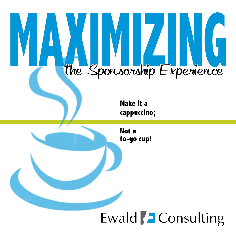

## Ewald | Consulting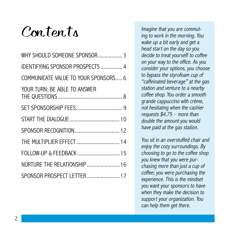## $Conton.$

| WHY SHOULD SOMEONE SPONSOR 3            |
|-----------------------------------------|
| <b>IDENTIFYING SPONSOR PROSPECTS  4</b> |
| COMMUNICATE VALUE TO YOUR SPONSORS 6    |
| YOUR TURN: BE ABLE TO ANSWER            |
|                                         |
|                                         |
|                                         |
| THE MULTIPLIER EFFECT 14                |
| FOLLOW-UP & FEEDBACK  15                |
| NURTURE THE RELATIONSHIP  16            |
| SPONSOR PROSPECT LETTER  17             |

Imagine that you are commuting to work in the morning. You wake up a bit early and get a head start on the day so you decide to treat yourself to coffee on your way to the office. As you consider your options, you choose to bypass the styrofoam cup of "caffeinated beverage" at the gas station and venture to a nearby coffee shop. You order a smooth grande cappuccino with crème, not hesitating when the cashier requests  $$4.75$  – more than double the amount you would have paid at the gas station.

You sit in an overstuffed chair and enjoy the cozy surroundings. By choosing to go to the coffee shop you knew that you were purchasing more than just a cup of coffee; you were purchasing the experience. This is the mindset you want your sponsors to have when they make the decision to support your organization. You can help them get there.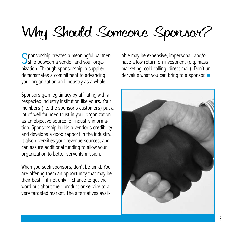# Why Should Someone Sponsor?

Sponsorship creates a meaningful partner-<br>Ship between a vendor and your orga-Ship between a vendor and your organization. Through sponsorship, a supplier demonstrates a commitment to advancing your organization and industry as a whole.

Sponsors gain legitimacy by affiliating with a respected industry institution like yours. Your members (i.e. the sponsor's customers) put a lot of well-founded trust in your organization as an objective source for industry information. Sponsorship builds a vendor's credibility and develops a good rapport in the industry. It also diversifies your revenue sources, and can assure additional funding to allow your organization to better serve its mission.

When you seek sponsors, don't be timid. You are offering them an opportunity that may be their best  $-$  if not only  $-$  chance to get the word out about their product or service to a very targeted market. The alternatives available may be expensive, impersonal, and/or have a low return on investment (e.g. mass marketing, cold calling, direct mail). Don't undervalue what you can bring to a sponsor.  $\blacksquare$ 

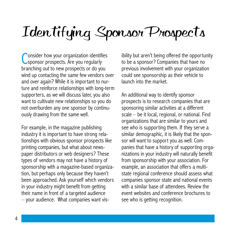# Identifying Sponsor Prospects

Consider how your organization identifies<br>Consider prospects. Are you regularly onsider how your organization identifies branching out to new prospects or do you wind up contacting the same few vendors over and over again? While it is important to nurture and reinforce relationships with long-term supporters, as we will discuss later, you also want to cultivate new relationships so you do not overburden any one sponsor by continuously drawing from the same well.

For example, in the magazine publishing industry it is important to have strong relationships with obvious sponsor prospects like printing companies, but what about newspaper distributors or web designers? These types of vendors may not have a history of sponsorship with a magazine-based organization, but perhaps only because they haven't been approached. Ask yourself which vendors in your industry might benefit from getting their name in front of a targeted audience – your audience. What companies want visibility but aren't being offered the opportunity to be a sponsor? Companies that have no previous involvement with your organization could see sponsorship as their vehicle to launch into the market.

An additional way to identify sponsor prospects is to research companies that are sponsoring similar activities at a different scale – be it local, regional, or national. Find organizations that are similar to yours and see who is supporting them. If they serve a similar demographic, it is likely that the sponsor will want to support you as well. Companies that have a history of supporting organizations in your industry will naturally benefit from sponsorship with your association. For example, an association that offers a multistate regional conference should assess what companies sponsor state and national events with a similar base of attendees. Review the event websites and conference brochures to see who is getting recognition.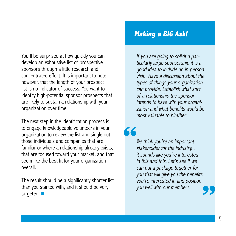You'll be surprised at how quickly you can develop an exhaustive list of prospective sponsors through a little research and concentrated effort. It is important to note, however, that the length of your prospect list is no indicator of success. You want to identify high-potential sponsor prospects that are likely to sustain a relationship with your organization over time.

The next step in the identification process is to engage knowledgeable volunteers in your organization to review the list and single out those individuals and companies that are familiar or where a relationship already exists, that are focused toward your market, and that seem like the best fit for your organization overall.

The result should be a significantly shorter list than you started with, and it should be very targeted.  $\blacksquare$ 

### **Making a BIG Ask!**

If you are going to solicit a particularly large sponsorship it is a good idea to include an in-person visit. Have a discussion about the types of things your organization can provide. Establish what sort of a relationship the sponsor intends to have with your organization and what benefits would be most valuable to him/her.

We think you're an important stakeholder for the industry... it sounds like you're interested in this and this. Let's see if we can put a package together for you that will give you the benefits you're interested in and position you well with our members. **66 99**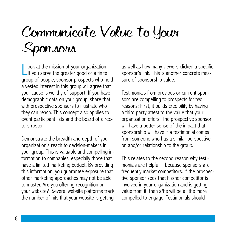# Communicate Value to Your Sponsors

L If you serve the greater good of a finite ook at the mission of your organization. group of people, sponsor prospects who hold a vested interest in this group will agree that your cause is worthy of support. If you have demographic data on your group, share that with prospective sponsors to illustrate who they can reach. This concept also applies to event participant lists and the board of directors roster.

Demonstrate the breadth and depth of your organization's reach to decision-makers in your group. This is valuable and compelling information to companies, especially those that have a limited marketing budget. By providing this information, you guarantee exposure that other marketing approaches may not be able to muster. Are you offering recognition on your website? Several website platforms track the number of hits that your website is getting

as well as how many viewers clicked a specific sponsor's link. This is another concrete measure of sponsorship value.

Testimonials from previous or current sponsors are compelling to prospects for two reasons: First, it builds credibility by having a third party attest to the value that your organization offers. The prospective sponsor will have a better sense of the impact that sponsorship will have if a testimonial comes from someone who has a similar perspective on and/or relationship to the group.

This relates to the second reason why testimonials are helpful – because sponsors are frequently market competitors. If the prospective sponsor sees that his/her competitor is involved in your organization and is getting value from it, then s/he will be all the more compelled to engage. Testimonials should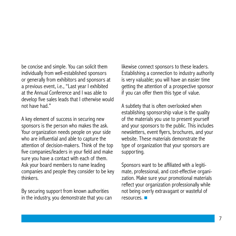be concise and simple. You can solicit them individually from well-established sponsors or generally from exhibitors and sponsors at a previous event, i.e., "Last year I exhibited at the Annual Conference and I was able to develop five sales leads that I otherwise would not have had."

A key element of success in securing new sponsors is the person who makes the ask. Your organization needs people on your side who are influential and able to capture the attention of decision-makers. Think of the top five companies/leaders in your field and make sure you have a contact with each of them. Ask your board members to name leading companies and people they consider to be key thinkers.

By securing support from known authorities in the industry, you demonstrate that you can likewise connect sponsors to these leaders. Establishing a connection to industry authority is very valuable; you will have an easier time getting the attention of a prospective sponsor if you can offer them this type of value.

A subtlety that is often overlooked when establishing sponsorship value is the quality of the materials you use to present yourself and your sponsors to the public. This includes newsletters, event flyers, brochures, and your website. These materials demonstrate the type of organization that your sponsors are supporting.

Sponsors want to be affiliated with a legitimate, professional, and cost-effective organization. Make sure your promotional materials reflect your organization professionally while not being overly extravagant or wasteful of resources.  $\blacksquare$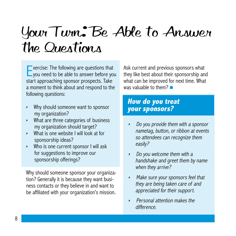# Your Turn: Be Able to Answer the Questions

 $\overline{\phantom{a}}$  xercise: The following are questions that you need to be able to answer before you start approaching sponsor prospects. Take a moment to think about and respond to the following questions:

- Why should someone want to sponsor my organization?
- What are three categories of business my organization should target?
- What is one website I will look at for sponsorship ideas?
- Who is one current sponsor I will ask for suggestions to improve our sponsorship offerings?

Why should someone sponsor your organization? Generally it is because they want business contacts or they believe in and want to be affiliated with your organization's mission. Ask current and previous sponsors what they like best about their sponsorship and what can be improved for next time. What was valuable to them?  $\blacksquare$ 

### **How do you treat your sponsors?**

- Do you provide them with a sponsor nametag, button, or ribbon at events so attendees can recognize them easily?
- Do you welcome them with a handshake and greet them by name when they arrive?
- Make sure your sponsors feel that they are being taken care of and appreciated for their support.
- Personal attention makes the difference.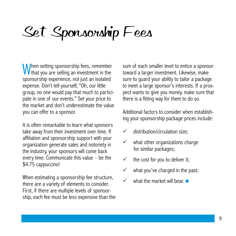# Set Sponsorship Fees

When setting sponsorship fees, remember **V** that you are selling an investment in the sponsorship experience, not just an isolated expense. Don't tell yourself, "Oh, our little group, no one would pay that much to participate in one of our events." Set your price to the market and don't underestimate the value you can offer to a sponsor.

It is often remarkable to learn what sponsors take away from their investment over time. If affiliation and sponsorship support with your organization generate sales and notoriety in the industry, your sponsors will come back every time. Communicate this value – be the \$4.75 cappuccino!

When estimating a sponsorship fee structure, there are a variety of elements to consider. First, if there are multiple levels of sponsorship, each fee must be less expensive than the sum of each smaller level to entice a sponsor toward a larger investment. Likewise, make sure to guard your ability to tailor a package to meet a large sponsor's interests. If a prospect wants to give you money, make sure that there is a fitting way for them to do so.

Additional factors to consider when establishing your sponsorship package prices include:

- $\checkmark$  distribution/circulation size;
- $\checkmark$  what other organizations charge for similar packages;
- $\checkmark$  the cost for you to deliver it;
- $\checkmark$  what you've charged in the past;
- what the market will bear.  $\blacksquare$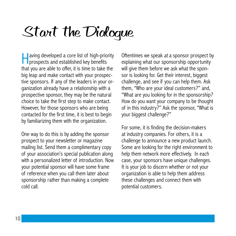# Start the Dialogue

**Having developed a core list of high-priority**  $\Box$  prospects and established key benefits that you are able to offer, it is time to take the big leap and make contact with your prospective sponsors. If any of the leaders in your organization already have a relationship with a prospective sponsor, they may be the natural choice to take the first step to make contact. However, for those sponsors who are being contacted for the first time, it is best to begin by familiarizing them with the organization.

One way to do this is by adding the sponsor prospect to your newsletter or magazine mailing list. Send them a complimentary copy of your association's special publication along with a personalized letter of introduction. Now your potential sponsor will have some frame of reference when you call them later about sponsorship rather than making a complete cold call.

Oftentimes we speak at a sponsor prospect by explaining what our sponsorship opportunity will give them before we ask what the sponsor is looking for. Get their interest, biggest challenge, and see if you can help them. Ask them, "Who are your ideal customers?" and, "What are you looking for in the sponsorship? How do you want your company to be thought of in this industry?" Ask the sponsor, "What is your biggest challenge?"

For some, it is finding the decision-makers at industry companies. For others, it is a challenge to announce a new product launch. Some are looking for the right environment to help them network more effectively. In each case, your sponsors have unique challenges. It is your job to discern whether or not your organization is able to help them address these challenges and connect them with potential customers.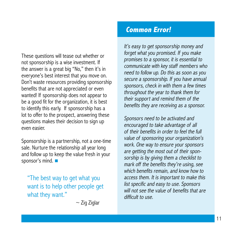These questions will tease out whether or not sponsorship is a wise investment. If the answer is a great big "No," then it's in everyone's best interest that you move on. Don't waste resources providing sponsorship benefits that are not appreciated or even wanted! If sponsorship does not appear to be a good fit for the organization, it is best to identify this early. If sponsorship has a lot to offer to the prospect, answering these questions makes their decision to sign up even easier.

Sponsorship is a partnership, not a one-time sale. Nurture the relationship all year long and follow up to keep the value fresh in your sponsor's mind.

"The best way to get what you want is to help other people get what they want."

 $\sim$  Zig Ziglar

## **Common Error!**

It's easy to get sponsorship money and forget what you promised. If you make promises to a sponsor, it is essential to communicate with key staff members who need to follow up. Do this as soon as you secure a sponsorship. If you have annual sponsors, check in with them a few times throughout the year to thank them for their support and remind them of the benefits they are receiving as a sponsor.

Sponsors need to be activated and encouraged to take advantage of all of their benefits in order to feel the full value of sponsoring your organization's work. One way to ensure your sponsors are getting the most out of their sponsorship is by giving them a checklist to mark off the benefits they're using, see which benefits remain, and know how to access them. It is important to make this list specific and easy to use. Sponsors will not see the value of benefits that are difficult to use.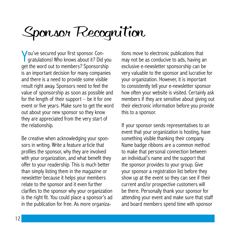# Sponsor Recognition

Y ou've secured your first sponsor. Congratulations! Who knows about it? Did you get the word out to members? Sponsorship is an important decision for many companies and there is a need to provide some visible result right away. Sponsors need to feel the value of sponsorship as soon as possible and for the length of their support – be it for one event or five years. Make sure to get the word out about your new sponsor so they know they are appreciated from the very start of the relationship.

Be creative when acknowledging your sponsors in writing. Write a feature article that profiles the sponsor, why they are involved with your organization, and what benefit they offer to your readership. This is much better than simply listing them in the magazine or newsletter because it helps your members relate to the sponsor and it even further clarifies to the sponsor why your organization is the right fit. You could place a sponsor's ad in the publication for free. As more organizations move to electronic publications that may not be as conducive to ads, having an exclusive e-newsletter sponsorship can be very valuable to the sponsor and lucrative for your organization. However, it is important to consistently tell your e-newsletter sponsor how often your website is visited. Certainly ask members if they are sensitive about giving out their electronic information before you provide this to a sponsor.

If your sponsor sends representatives to an event that your organization is hosting, have something visible thanking their company. Name badge ribbons are a common method to make that personal connection between an individual's name and the support that the sponsor provides to your group. Give your sponsor a registration list before they show up at the event so they can see if their current and/or prospective customers will be there. Personally thank your sponsor for attending your event and make sure that staff and board members spend time with sponsor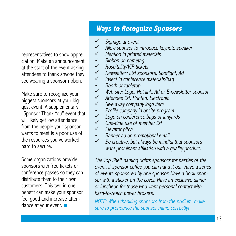representatives to show appreciation. Make an announcement at the start of the event asking attendees to thank anyone they see wearing a sponsor ribbon.

Make sure to recognize your biggest sponsors at your biggest event. A supplementary "Sponsor Thank You" event that will likely get low attendance from the people your sponsor wants to meet is a poor use of the resources you've worked hard to secure.

Some organizations provide sponsors with free tickets or conference passes so they can distribute them to their own customers. This two-in-one benefit can make your sponsor feel good and increase attendance at your event.  $\blacksquare$ 

## **Ways to Recognize Sponsors**

- $\checkmark$  Signage at event
- Allow sponsor to introduce keynote speaker
- $\checkmark$  Mention in printed materials
- $\checkmark$  Ribbon on nametag
- $\checkmark$  Hospitality/VIP tickets
- $\checkmark$  Newsletter: List sponsors, Spotlight, Ad
- $\checkmark$  Insert in conference materials/bag
- $\checkmark$  Booth or tabletop
- $\checkmark$  Web site: Logo, Hot link, Ad or E-newsletter sponsor<br> $\checkmark$  Attendee list: Printed. Electronic
- Attendee list: Printed, Electronic
- $\checkmark$  Give away company logo item
- $\checkmark$  Profile company in onsite program
- $\checkmark$  Logo on conference bags or lanyards
- $\checkmark$  One-time use of member list
- $\checkmark$  Elevator pitch
- $\checkmark$  Banner ad on promotional email
- $\checkmark$  Be creative, but always be mindful that sponsors want prominant affiliation with a quality product.

The Top Shelf naming rights sponsors for parties of the event, if sponsor coffee you can hand it out. Have a series of events sponsored by one sponsor. Have a book sponsor with a sticker on the cover. Have an exclusive dinner or luncheon for those who want personal contact with hard-to-reach power brokers.

NOTE: When thanking sponsors from the podium, make sure to pronounce the sponsor name correctly!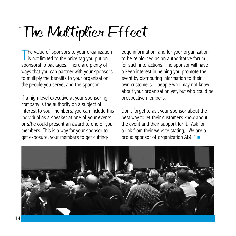# The Multiplier Effect

The value of sponsors to your organization<br>is not limited to the price tag you put on is not limited to the price tag you put on sponsorship packages. There are plenty of ways that you can partner with your sponsors to multiply the benefits to your organization, the people you serve, and the sponsor.

If a high-level executive at your sponsoring company is the authority on a subject of interest to your members, you can include this individual as a speaker at one of your events or s/he could present an award to one of your members. This is a way for your sponsor to get exposure, your members to get cuttingedge information, and for your organization to be reinforced as an authoritative forum for such interactions. The sponsor will have a keen interest in helping you promote the event by distributing information to their own customers – people who may not know about your organization yet, but who could be prospective members.

Don't forget to ask your sponsor about the best way to let their customers know about the event and their support for it. Ask for a link from their website stating, "We are a proud sponsor of organization ABC."  $\blacksquare$ 

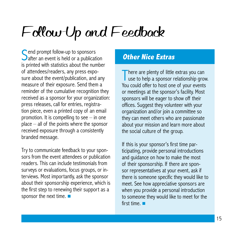# Follow-Up and Feedback

Send prompt follow-up to sponsors<br>
Safter an event is held or a publication  $\bigcup$  after an event is held or a publication is printed with statistics about the number of attendees/readers, any press exposure about the event/publication, and any measure of their exposure. Send them a reminder of the cumulative recognition they received as a sponsor for your organization: press releases, call for entries, registration piece, even a printed copy of an email promotion. It is compelling to see – in one place – all of the points where the sponsor received exposure through a consistently branded message.

Try to communicate feedback to your sponsors from the event attendees or publication readers. This can include testimonials from surveys or evaluations, focus groups, or interviews. Most importantly, ask the sponsor about their sponsorship experience, which is the first step to renewing their support as a sponsor the next time.  $\blacksquare$ 

### **Other Nice Extras**

There are plenty of little extras you can<br>use to help a sponsor relationship grou use to help a sponsor relationship grow. You could offer to host one of your events or meetings at the sponsor's facility. Most sponsors will be eager to show off their offices. Suggest they volunteer with your organization and/or join a committee so they can meet others who are passionate about your mission and learn more about the social culture of the group.

If this is your sponsor's first time participating, provide personal introductions and guidance on how to make the most of their sponsorship. If there are sponsor representatives at your event, ask if there is someone specific they would like to meet. See how appreciative sponsors are when you provide a personal introduction to someone they would like to meet for the first time.  $\blacksquare$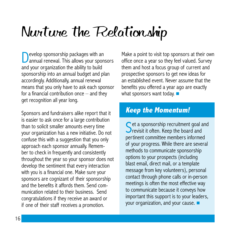# Nurture the Relationship

evelop sponsorship packages with an annual renewal. This allows your sponsors and your organization the ability to build sponsorship into an annual budget and plan accordingly. Additionally, annual renewal means that you only have to ask each sponsor for a financial contribution once  $-$  and they get recognition all year long.

Sponsors and fundraisers alike report that it is easier to ask once for a large contribution than to solicit smaller amounts every time your organization has a new initiative. Do not confuse this with a suggestion that you only approach each sponsor annually. Remember to check in frequently and consistently throughout the year so your sponsor does not develop the sentiment that every interaction with you is a financial one. Make sure your sponsors are cognizant of their sponsorship and the benefits it affords them. Send communication related to their business. Send congratulations if they receive an award or if one of their staff receives a promotion.

Make a point to visit top sponsors at their own office once a year so they feel valued. Survey them and host a focus group of current and prospective sponsors to get new ideas for an established event. Never assume that the benefits you offered a year ago are exactly what sponsors want today.  $\blacksquare$ 

### **Keep the Momentum!**

Set a sponsorship recruitment goal and<br>Set is it often. Keep the board and **Previsit it often. Keep the board and** pertinent committee members informed of your progress. While there are several methods to communicate sponsorship options to your prospects (including blast email, direct mail, or a template message from key volunteers), personal contact through phone calls or in-person meetings is often the most effective way to communicate because it conveys how important this support is to your leaders, your organization, and your cause.  $\blacksquare$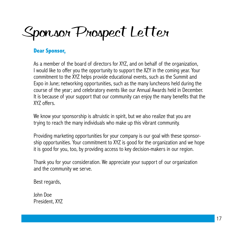Sponsor Prospect Letter

#### **Dear Sponsor,**

As a member of the board of directors for XYZ, and on behalf of the organization, I would like to offer you the opportunity to support the XZY in the coming year. Your commitment to the XYZ helps provide educational events, such as the Summit and Expo in June; networking opportunities, such as the many luncheons held during the course of the year; and celebratory events like our Annual Awards held in December. It is because of your support that our community can enjoy the many benefits that the XYZ offers.

We know your sponsorship is altruistic in spirit, but we also realize that you are trying to reach the many individuals who make up this vibrant community.

Providing marketing opportunities for your company is our goal with these sponsorship opportunities. Your commitment to XYZ is good for the organization and we hope it is good for you, too, by providing access to key decision-makers in our region.

Thank you for your consideration. We appreciate your support of our organization and the community we serve.

Best regards,

John Doe President, XYZ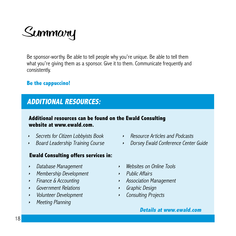

Be sponsor-worthy. Be able to tell people why you're unique. Be able to tell them what you're giving them as a sponsor. Give it to them. Communicate frequently and consistently.

#### **Be the cappuccino!**

### **ADDITIONAL RESOURCES:**

#### **Additional resources can be found on the Ewald Consulting website at www.ewald.com.**

- Secrets for Citizen Lobbyists Book
- Board Leadership Training Course

#### **Ewald Consulting offers services in:**

- Database Management
- Membership Development
- Finance & Accounting
- Government Relations
- Volunteer Development
- $\blacktriangleright$ Meeting Planning
- $\triangleright$  Resource Articles and Podcasts
- Dorsey Ewald Conference Center Guide
- ▶ Websites on Online Tools
- Public Affairs
- Association Management
- Graphic Design
- $\blacktriangleright$ Consulting Projects

#### **Details at www.ewald.com**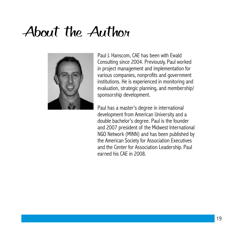## About the Author



Paul J. Hanscom, CAE has been with Ewald Consulting since 2004. Previously, Paul worked in project management and implementation for various companies, nonprofits and government institutions. He is experienced in monitoring and evaluation, strategic planning, and membership/ sponsorship development.

Paul has a master's degree in international development from American University and a double bachelor's degree. Paul is the founder and 2007 president of the Midwest International NGO Network (MINN) and has been published by the American Society for Association Executives and the Center for Association Leadership. Paul earned his CAE in 2008.